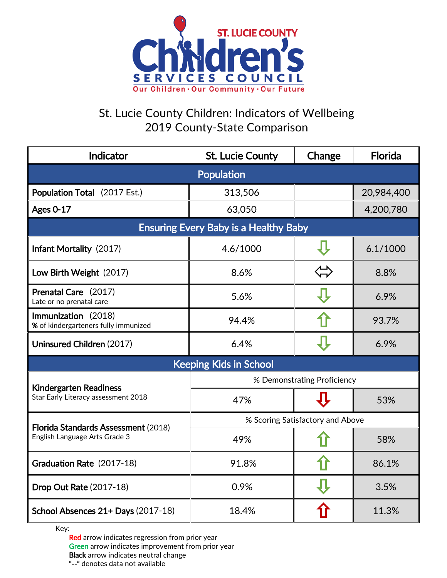

## St. Lucie County Children: Indicators of Wellbeing 2019 County-State Comparison

| Indicator                                                                   | <b>St. Lucie County</b>          | Change | <b>Florida</b> |  |
|-----------------------------------------------------------------------------|----------------------------------|--------|----------------|--|
| <b>Population</b>                                                           |                                  |        |                |  |
| Population Total (2017 Est.)                                                | 313,506                          |        | 20,984,400     |  |
| <b>Ages 0-17</b>                                                            | 63,050                           |        | 4,200,780      |  |
| <b>Ensuring Every Baby is a Healthy Baby</b>                                |                                  |        |                |  |
| Infant Mortality (2017)                                                     | 4.6/1000                         |        | 6.1/1000       |  |
| Low Birth Weight (2017)                                                     | 8.6%                             |        | 8.8%           |  |
| Prenatal Care (2017)<br>Late or no prenatal care                            | 5.6%                             |        | 6.9%           |  |
| Immunization (2018)<br>% of kindergarteners fully immunized                 | 94.4%                            |        | 93.7%          |  |
| Uninsured Children (2017)                                                   | 6.4%                             |        | 6.9%           |  |
| <b>Keeping Kids in School</b>                                               |                                  |        |                |  |
| <b>Kindergarten Readiness</b><br>Star Early Literacy assessment 2018        | % Demonstrating Proficiency      |        |                |  |
|                                                                             | 47%                              |        | 53%            |  |
| <b>Florida Standards Assessment (2018)</b><br>English Language Arts Grade 3 | % Scoring Satisfactory and Above |        |                |  |
|                                                                             | 49%                              |        | 58%            |  |
| Graduation Rate (2017-18)                                                   | 91.8%                            |        | 86.1%          |  |
| <b>Drop Out Rate (2017-18)</b>                                              | 0.9%                             |        | 3.5%           |  |
| School Absences 21+ Days (2017-18)                                          | 18.4%                            |        | 11.3%          |  |

Key:

Red arrow indicates regression from prior year Green arrow indicates improvement from prior year Black arrow indicates neutral change "--" denotes data not available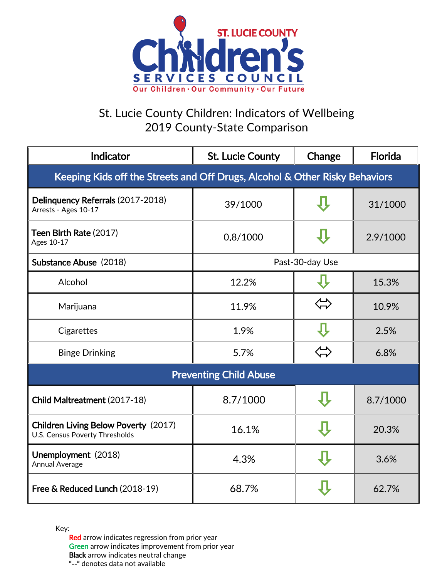

## St. Lucie County Children: Indicators of Wellbeing 2019 County-State Comparison

| Indicator                                                                     | <b>St. Lucie County</b> | Change            | Florida  |  |
|-------------------------------------------------------------------------------|-------------------------|-------------------|----------|--|
| Keeping Kids off the Streets and Off Drugs, Alcohol & Other Risky Behaviors   |                         |                   |          |  |
| Delinquency Referrals (2017-2018)<br>Arrests - Ages 10-17                     | 39/1000                 |                   | 31/1000  |  |
| Teen Birth Rate (2017)<br>Ages 10-17                                          | 0.8/1000                |                   | 2.9/1000 |  |
| Substance Abuse (2018)                                                        | Past-30-day Use         |                   |          |  |
| Alcohol                                                                       | 12.2%                   |                   | 15.3%    |  |
| Marijuana                                                                     | 11.9%                   |                   | 10.9%    |  |
| Cigarettes                                                                    | 1.9%                    |                   | 2.5%     |  |
| <b>Binge Drinking</b>                                                         | 5.7%                    | $\Leftrightarrow$ | 6.8%     |  |
| <b>Preventing Child Abuse</b>                                                 |                         |                   |          |  |
| Child Maltreatment (2017-18)                                                  | 8.7/1000                |                   | 8.7/1000 |  |
| <b>Children Living Below Poverty (2017)</b><br>U.S. Census Poverty Thresholds | 16.1%                   |                   | 20.3%    |  |
| Unemployment (2018)<br>Annual Average                                         | 4.3%                    |                   | 3.6%     |  |
| Free & Reduced Lunch (2018-19)                                                | 68.7%                   |                   | 62.7%    |  |

Key:

Red arrow indicates regression from prior year Green arrow indicates improvement from prior year Black arrow indicates neutral change "--" denotes data not available